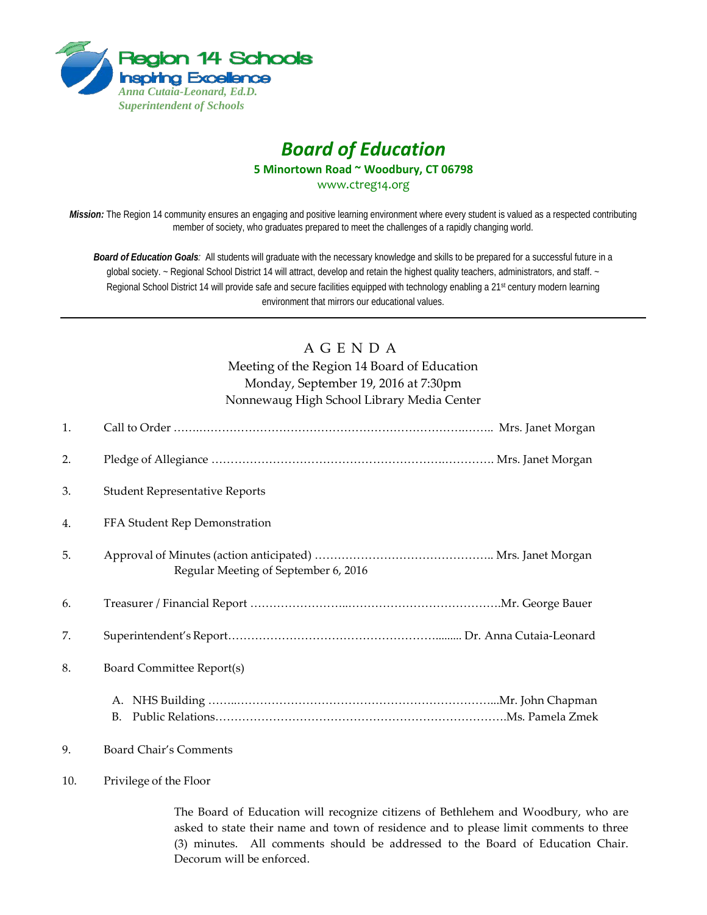

# *Board of Education* **5 Minortown Road ~ Woodbury, CT 06798** [www.ctreg14.org](http://www.ctreg14.org/)

*Mission:* The Region 14 community ensures an engaging and positive learning environment where every student is valued as a respected contributing member of society, who graduates prepared to meet the challenges of a rapidly changing world.

*Board of Education Goals:* All students will graduate with the necessary knowledge and skills to be prepared for a successful future in a global society. ~ Regional School District 14 will attract, develop and retain the highest quality teachers, administrators, and staff. ~ Regional School District 14 will provide safe and secure facilities equipped with technology enabling a 21<sup>st</sup> century modern learning environment that mirrors our educational values.

## A G E N D A

Meeting of the Region 14 Board of Education Monday, September 19, 2016 at 7:30pm Nonnewaug High School Library Media Center

| 1.  |                                       |  |
|-----|---------------------------------------|--|
| 2.  |                                       |  |
| 3.  | <b>Student Representative Reports</b> |  |
| 4.  | FFA Student Rep Demonstration         |  |
| 5.  | Regular Meeting of September 6, 2016  |  |
| 6.  |                                       |  |
| 7.  |                                       |  |
| 8.  | Board Committee Report(s)             |  |
|     | B.                                    |  |
| 9.  | <b>Board Chair's Comments</b>         |  |
| 10. | Privilege of the Floor                |  |

The Board of Education will recognize citizens of Bethlehem and Woodbury, who are asked to state their name and town of residence and to please limit comments to three (3) minutes. All comments should be addressed to the Board of Education Chair. Decorum will be enforced.